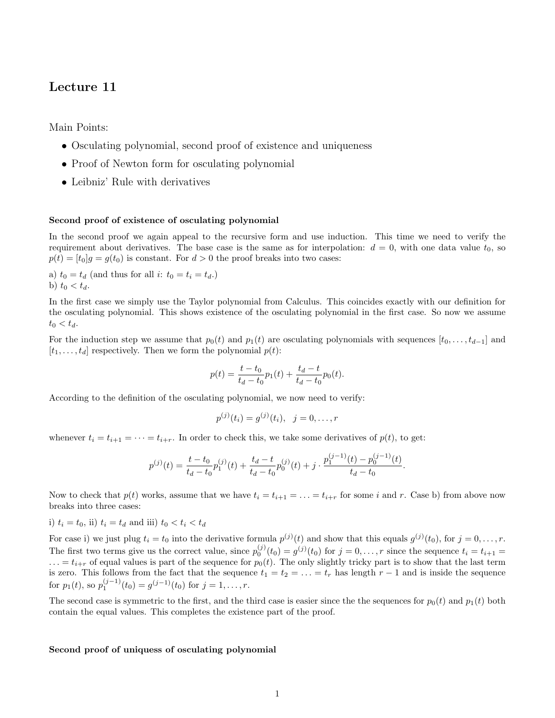# Lecture 11

Main Points:

- Osculating polynomial, second proof of existence and uniqueness
- Proof of Newton form for osculating polynomial
- Leibniz' Rule with derivatives

## Second proof of existence of osculating polynomial

In the second proof we again appeal to the recursive form and use induction. This time we need to verify the requirement about derivatives. The base case is the same as for interpolation:  $d = 0$ , with one data value  $t_0$ , so  $p(t) = [t_0]g = g(t_0)$  is constant. For  $d > 0$  the proof breaks into two cases:

a)  $t_0 = t_d$  (and thus for all *i*:  $t_0 = t_i = t_d$ .) b)  $t_0 < t_d$ .

In the first case we simply use the Taylor polynomial from Calculus. This coincides exactly with our definition for the osculating polynomial. This shows existence of the osculating polynomial in the first case. So now we assume  $t_0 < t_d$ .

For the induction step we assume that  $p_0(t)$  and  $p_1(t)$  are osculating polynomials with sequences  $[t_0, \ldots, t_{d-1}]$  and  $[t_1, \ldots, t_d]$  respectively. Then we form the polynomial  $p(t)$ :

$$
p(t) = \frac{t - t_0}{t_d - t_0} p_1(t) + \frac{t_d - t}{t_d - t_0} p_0(t).
$$

According to the definition of the osculating polynomial, we now need to verify:

$$
p^{(j)}(t_i) = g^{(j)}(t_i), \ \ j = 0, \dots, r
$$

whenever  $t_i = t_{i+1} = \cdots = t_{i+r}$ . In order to check this, we take some derivatives of  $p(t)$ , to get:

$$
p^{(j)}(t) = \frac{t - t_0}{t_d - t_0} p_1^{(j)}(t) + \frac{t_d - t}{t_d - t_0} p_0^{(j)}(t) + j \cdot \frac{p_1^{(j-1)}(t) - p_0^{(j-1)}(t)}{t_d - t_0}.
$$

Now to check that  $p(t)$  works, assume that we have  $t_i = t_{i+1} = \ldots = t_{i+r}$  for some i and r. Case b) from above now breaks into three cases:

i) 
$$
t_i = t_0
$$
, ii)  $t_i = t_d$  and iii)  $t_0 < t_i < t_d$ 

For case i) we just plug  $t_i = t_0$  into the derivative formula  $p^{(j)}(t)$  and show that this equals  $g^{(j)}(t_0)$ , for  $j = 0, \ldots, r$ . The first two terms give us the correct value, since  $p_0^{(j)}(t_0) = g^{(j)}(t_0)$  for  $j = 0, \ldots, r$  since the sequence  $t_i = t_{i+1}$  $\ldots = t_{i+r}$  of equal values is part of the sequence for  $p_0(t)$ . The only slightly tricky part is to show that the last term is zero. This follows from the fact that the sequence  $t_1 = t_2 = \ldots = t_r$  has length  $r - 1$  and is inside the sequence for  $p_1(t)$ , so  $p_1^{(j-1)}(t_0) = g^{(j-1)}(t_0)$  for  $j = 1, ..., r$ .

The second case is symmetric to the first, and the third case is easier since the the sequences for  $p_0(t)$  and  $p_1(t)$  both contain the equal values. This completes the existence part of the proof.

#### Second proof of uniquess of osculating polynomial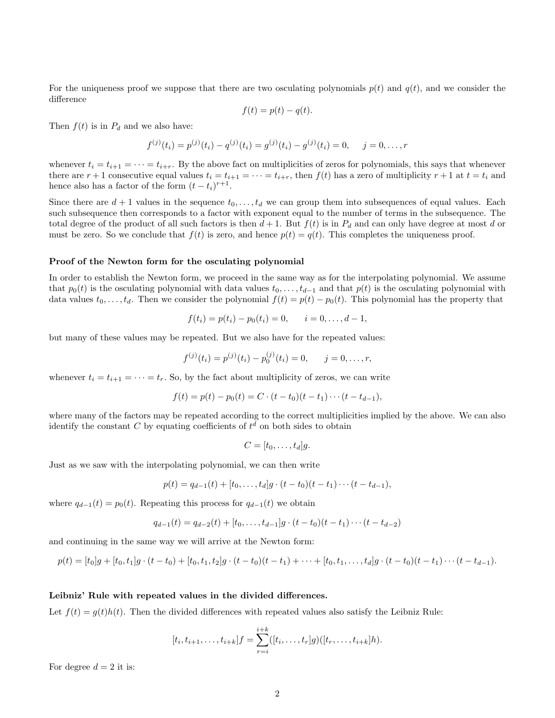For the uniqueness proof we suppose that there are two osculating polynomials  $p(t)$  and  $q(t)$ , and we consider the difference

$$
f(t) = p(t) - q(t).
$$

Then  $f(t)$  is in  $P_d$  and we also have:

$$
f^{(j)}(t_i) = p^{(j)}(t_i) - q^{(j)}(t_i) = g^{(j)}(t_i) - g^{(j)}(t_i) = 0, \quad j = 0, \dots, r
$$

whenever  $t_i = t_{i+1} = \cdots = t_{i+r}$ . By the above fact on multiplicities of zeros for polynomials, this says that whenever there are  $r + 1$  consecutive equal values  $t_i = t_{i+1} = \cdots = t_{i+r}$ , then  $f(t)$  has a zero of multiplicity  $r + 1$  at  $t = t_i$  and hence also has a factor of the form  $(t - t_i)^{r+1}$ .

Since there are  $d+1$  values in the sequence  $t_0, \ldots, t_d$  we can group them into subsequences of equal values. Each such subsequence then corresponds to a factor with exponent equal to the number of terms in the subsequence. The total degree of the product of all such factors is then  $d+1$ . But  $f(t)$  is in  $P_d$  and can only have degree at most d or must be zero. So we conclude that  $f(t)$  is zero, and hence  $p(t) = q(t)$ . This completes the uniqueness proof.

### Proof of the Newton form for the osculating polynomial

In order to establish the Newton form, we proceed in the same way as for the interpolating polynomial. We assume that  $p_0(t)$  is the osculating polynomial with data values  $t_0, \ldots, t_{d-1}$  and that  $p(t)$  is the osculating polynomial with data values  $t_0, \ldots, t_d$ . Then we consider the polynomial  $f(t) = p(t) - p_0(t)$ . This polynomial has the property that

$$
f(t_i) = p(t_i) - p_0(t_i) = 0, \qquad i = 0, \ldots, d - 1,
$$

but many of these values may be repeated. But we also have for the repeated values:

$$
f^{(j)}(t_i) = p^{(j)}(t_i) - p_0^{(j)}(t_i) = 0, \quad j = 0, \dots, r,
$$

whenever  $t_i = t_{i+1} = \cdots = t_r$ . So, by the fact about multiplicity of zeros, we can write

$$
f(t) = p(t) - p_0(t) = C \cdot (t - t_0)(t - t_1) \cdots (t - t_{d-1}),
$$

where many of the factors may be repeated according to the correct multiplicities implied by the above. We can also identify the constant C by equating coefficients of  $t^d$  on both sides to obtain

$$
C=[t_0,\ldots,t_d]g.
$$

Just as we saw with the interpolating polynomial, we can then write

$$
p(t) = q_{d-1}(t) + [t_0, \ldots, t_d]g \cdot (t - t_0)(t - t_1) \cdots (t - t_{d-1}),
$$

where  $q_{d-1}(t) = p_0(t)$ . Repeating this process for  $q_{d-1}(t)$  we obtain

$$
q_{d-1}(t) = q_{d-2}(t) + [t_0, \dots, t_{d-1}]g \cdot (t - t_0)(t - t_1) \cdots (t - t_{d-2})
$$

and continuing in the same way we will arrive at the Newton form:

$$
p(t) = [t_0]g + [t_0, t_1]g \cdot (t - t_0) + [t_0, t_1, t_2]g \cdot (t - t_0)(t - t_1) + \cdots + [t_0, t_1, \ldots, t_d]g \cdot (t - t_0)(t - t_1) \cdots (t - t_{d-1}).
$$

#### Leibniz' Rule with repeated values in the divided differences.

Let  $f(t) = g(t)h(t)$ . Then the divided differences with repeated values also satisfy the Leibniz Rule:

$$
[t_i, t_{i+1}, \dots, t_{i+k}]f = \sum_{r=i}^{i+k} ([t_i, \dots, t_r]g)([t_r, \dots, t_{i+k}]h).
$$

For degree  $d = 2$  it is: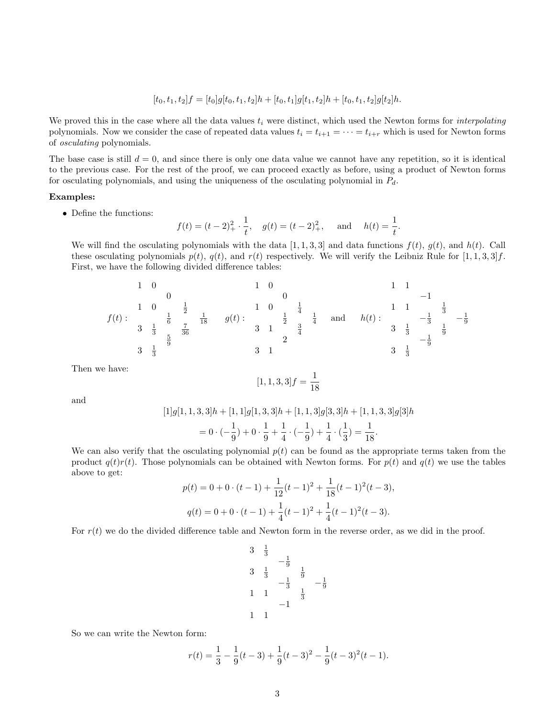$$
[t_0, t_1, t_2]f = [t_0]g[t_0, t_1, t_2]h + [t_0, t_1]g[t_1, t_2]h + [t_0, t_1, t_2]g[t_2]h.
$$

We proved this in the case where all the data values  $t_i$  were distinct, which used the Newton forms for *interpolating* polynomials. Now we consider the case of repeated data values  $t_i = t_{i+1} = \cdots = t_{i+r}$  which is used for Newton forms of osculating polynomials.

The base case is still  $d = 0$ , and since there is only one data value we cannot have any repetition, so it is identical to the previous case. For the rest of the proof, we can proceed exactly as before, using a product of Newton forms for osculating polynomials, and using the uniqueness of the osculating polynomial in  $P_d$ .

## Examples:

• Define the functions:

$$
f(t) = (t-2)^2 + \frac{1}{t}, \quad g(t) = (t-2)^2 + \text{ and } \quad h(t) = \frac{1}{t}.
$$

We will find the osculating polynomials with the data [1, 1, 3, 3] and data functions  $f(t)$ ,  $g(t)$ , and  $h(t)$ . Call these osculating polynomials  $p(t)$ ,  $q(t)$ , and  $r(t)$  respectively. We will verify the Leibniz Rule for  $[1, 1, 3, 3]$ f. First, we have the following divided difference tables:

f(t) : 1 0 0 1 0 <sup>1</sup> 2 1 6 1 18 3 1 3 7 <sup>36</sup> <sup>5</sup> 9 3 1 3 g(t) : 1 0 0 1 0 <sup>1</sup> 4 1 2 1 4 3 1 <sup>3</sup> 4 2 3 1 and h(t) : 1 1 −1 1 1 <sup>1</sup> 3 − 1 <sup>3</sup> − 1 9 3 1 3 1 9 − 1 9 3 1 3

Then we have:

$$
[1, 1, 3, 3]f = \frac{1}{18}
$$

and

$$
[1]g[1, 1, 3, 3]h + [1, 1]g[1, 3, 3]h + [1, 1, 3]g[3, 3]h + [1, 1, 3, 3]g[3]h
$$
  
=  $0 \cdot (-\frac{1}{9}) + 0 \cdot \frac{1}{9} + \frac{1}{4} \cdot (-\frac{1}{9}) + \frac{1}{4} \cdot (\frac{1}{3}) = \frac{1}{18}$ .

We can also verify that the osculating polynomial  $p(t)$  can be found as the appropriate terms taken from the product  $q(t)r(t)$ . Those polynomials can be obtained with Newton forms. For  $p(t)$  and  $q(t)$  we use the tables above to get:

$$
p(t) = 0 + 0 \cdot (t - 1) + \frac{1}{12}(t - 1)^2 + \frac{1}{18}(t - 1)^2(t - 3),
$$
  

$$
q(t) = 0 + 0 \cdot (t - 1) + \frac{1}{4}(t - 1)^2 + \frac{1}{4}(t - 1)^2(t - 3).
$$

For  $r(t)$  we do the divided difference table and Newton form in the reverse order, as we did in the proof.

$$
\begin{array}{ccc}\n3 & \frac{1}{3} & -\frac{1}{9} \\
3 & \frac{1}{3} & -\frac{1}{9} \\
1 & 1 & \frac{1}{3} & -\frac{1}{9} \\
1 & 1 & -1\n\end{array}
$$

So we can write the Newton form:

$$
r(t) = \frac{1}{3} - \frac{1}{9}(t-3) + \frac{1}{9}(t-3)^{2} - \frac{1}{9}(t-3)^{2}(t-1).
$$